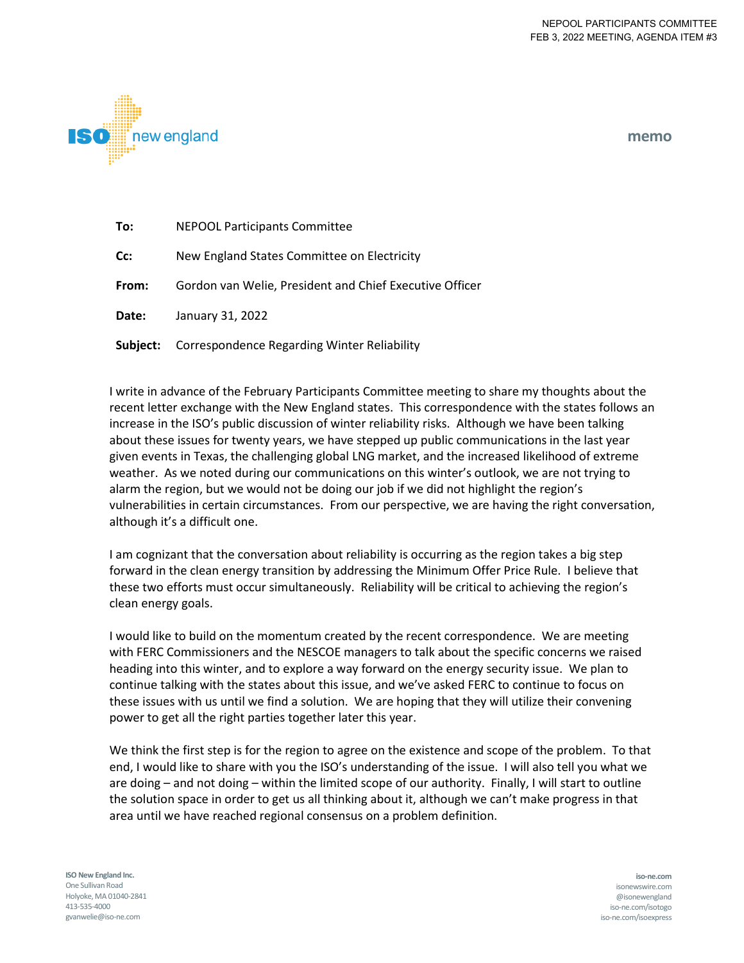

**memo**

- **To:** NEPOOL Participants Committee
- **Cc:** New England States Committee on Electricity
- **From:** Gordon van Welie, President and Chief Executive Officer
- **Date:** January 31, 2022
- **Subject:** Correspondence Regarding Winter Reliability

I write in advance of the February Participants Committee meeting to share my thoughts about the recent letter exchange with the New England states. This correspondence with the states follows an increase in the ISO's public discussion of winter reliability risks. Although we have been talking about these issues for twenty years, we have stepped up public communications in the last year given events in Texas, the challenging global LNG market, and the increased likelihood of extreme weather. As we noted during our communications on this winter's outlook, we are not trying to alarm the region, but we would not be doing our job if we did not highlight the region's vulnerabilities in certain circumstances. From our perspective, we are having the right conversation, although it's a difficult one.

I am cognizant that the conversation about reliability is occurring as the region takes a big step forward in the clean energy transition by addressing the Minimum Offer Price Rule. I believe that these two efforts must occur simultaneously. Reliability will be critical to achieving the region's clean energy goals.

I would like to build on the momentum created by the recent correspondence. We are meeting with FERC Commissioners and the NESCOE managers to talk about the specific concerns we raised heading into this winter, and to explore a way forward on the energy security issue. We plan to continue talking with the states about this issue, and we've asked FERC to continue to focus on these issues with us until we find a solution. We are hoping that they will utilize their convening power to get all the right parties together later this year.

We think the first step is for the region to agree on the existence and scope of the problem. To that end, I would like to share with you the ISO's understanding of the issue. I will also tell you what we are doing – and not doing – within the limited scope of our authority. Finally, I will start to outline the solution space in order to get us all thinking about it, although we can't make progress in that area until we have reached regional consensus on a problem definition.

**ISO New England Inc.** One Sullivan Road Holyoke, MA 01040-2841 413-535-4000 gvanwelie@iso-ne.com

**iso-ne.com**  isonewswire.com @isonewengland iso-ne.com/isotogo iso-ne.com/isoexpress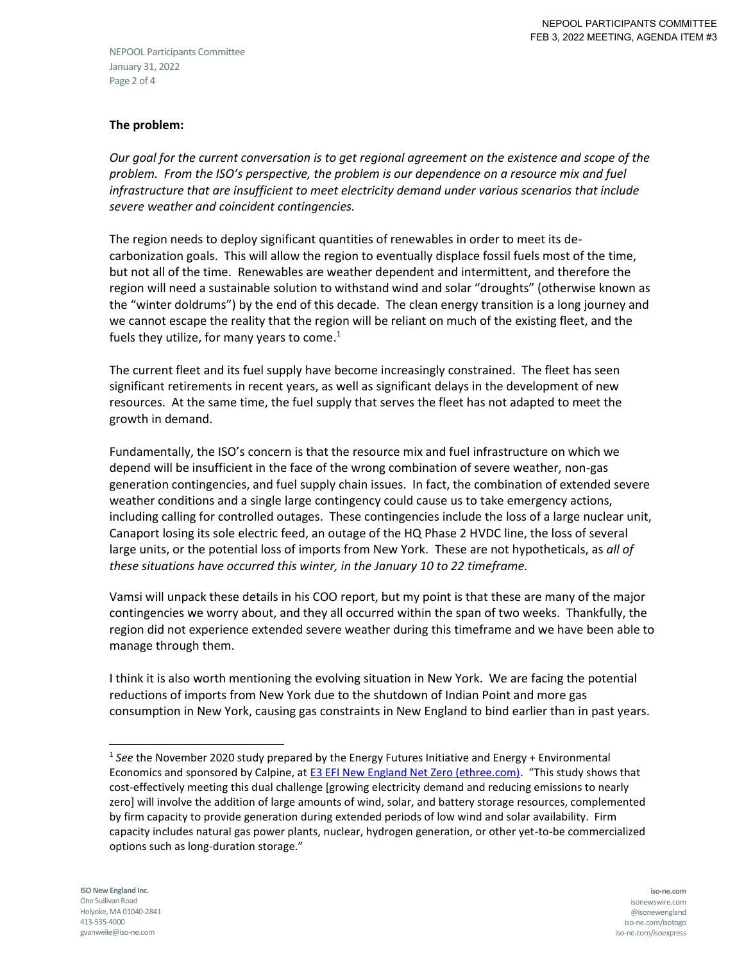NEPOOL Participants Committee January 31, 2022 Page 2 of 4

# **The problem:**

*Our goal for the current conversation is to get regional agreement on the existence and scope of the problem. From the ISO's perspective, the problem is our dependence on a resource mix and fuel infrastructure that are insufficient to meet electricity demand under various scenarios that include severe weather and coincident contingencies.* 

The region needs to deploy significant quantities of renewables in order to meet its decarbonization goals. This will allow the region to eventually displace fossil fuels most of the time, but not all of the time. Renewables are weather dependent and intermittent, and therefore the region will need a sustainable solution to withstand wind and solar "droughts" (otherwise known as the "winter doldrums") by the end of this decade. The clean energy transition is a long journey and we cannot escape the reality that the region will be reliant on much of the existing fleet, and the fuels they utilize, for many years to come.<sup>1</sup>

The current fleet and its fuel supply have become increasingly constrained. The fleet has seen significant retirements in recent years, as well as significant delays in the development of new resources. At the same time, the fuel supply that serves the fleet has not adapted to meet the growth in demand.

Fundamentally, the ISO's concern is that the resource mix and fuel infrastructure on which we depend will be insufficient in the face of the wrong combination of severe weather, non-gas generation contingencies, and fuel supply chain issues. In fact, the combination of extended severe weather conditions and a single large contingency could cause us to take emergency actions, including calling for controlled outages. These contingencies include the loss of a large nuclear unit, Canaport losing its sole electric feed, an outage of the HQ Phase 2 HVDC line, the loss of several large units, or the potential loss of imports from New York. These are not hypotheticals, as *all of these situations have occurred this winter, in the January 10 to 22 timeframe.*

Vamsi will unpack these details in his COO report, but my point is that these are many of the major contingencies we worry about, and they all occurred within the span of two weeks. Thankfully, the region did not experience extended severe weather during this timeframe and we have been able to manage through them.

I think it is also worth mentioning the evolving situation in New York. We are facing the potential reductions of imports from New York due to the shutdown of Indian Point and more gas consumption in New York, causing gas constraints in New England to bind earlier than in past years.

l

<sup>&</sup>lt;sup>1</sup> See the November 2020 study prepared by the Energy Futures Initiative and Energy + Environmental Economics and sponsored by Calpine, at [E3 EFI New England Net Zero \(ethree.com\)](https://www.ethree.com/wp-content/uploads/2020/11/E3-EFI_Report-New-England-Reliability-Under-Deep-Decarbonization_Full-Report_November_2020.pdf). "This study shows that cost-effectively meeting this dual challenge [growing electricity demand and reducing emissions to nearly zero] will involve the addition of large amounts of wind, solar, and battery storage resources, complemented by firm capacity to provide generation during extended periods of low wind and solar availability. Firm capacity includes natural gas power plants, nuclear, hydrogen generation, or other yet-to-be commercialized options such as long-duration storage."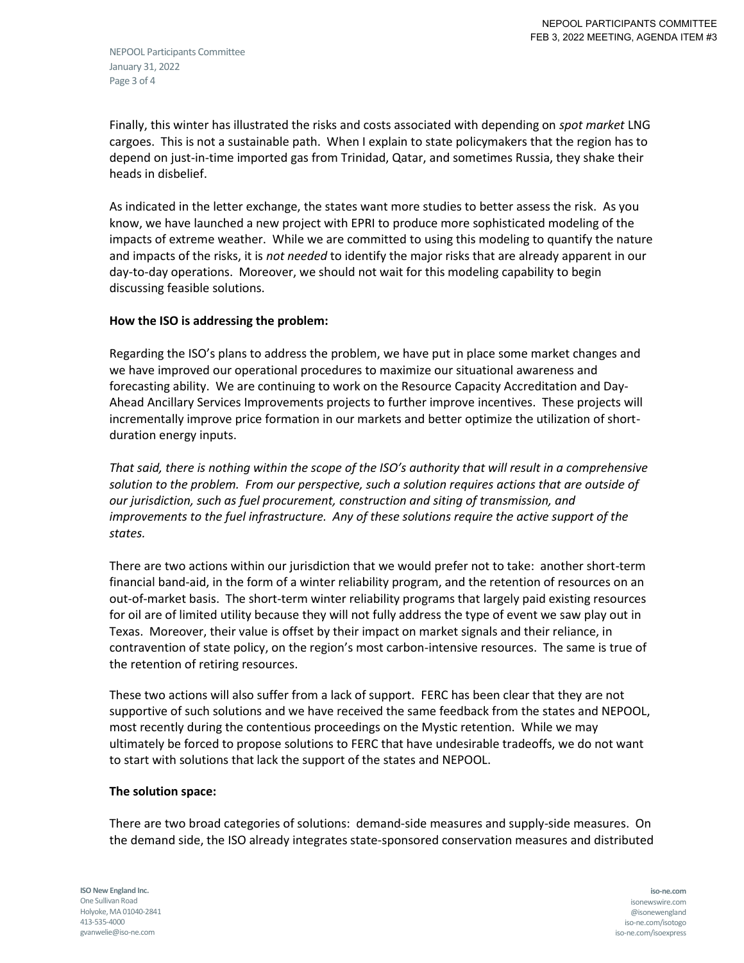Finally, this winter has illustrated the risks and costs associated with depending on *spot market* LNG cargoes. This is not a sustainable path. When I explain to state policymakers that the region has to depend on just-in-time imported gas from Trinidad, Qatar, and sometimes Russia, they shake their heads in disbelief.

As indicated in the letter exchange, the states want more studies to better assess the risk. As you know, we have launched a new project with EPRI to produce more sophisticated modeling of the impacts of extreme weather. While we are committed to using this modeling to quantify the nature and impacts of the risks, it is *not needed* to identify the major risks that are already apparent in our day-to-day operations. Moreover, we should not wait for this modeling capability to begin discussing feasible solutions.

# **How the ISO is addressing the problem:**

Regarding the ISO's plans to address the problem, we have put in place some market changes and we have improved our operational procedures to maximize our situational awareness and forecasting ability. We are continuing to work on the Resource Capacity Accreditation and Day-Ahead Ancillary Services Improvements projects to further improve incentives. These projects will incrementally improve price formation in our markets and better optimize the utilization of shortduration energy inputs.

*That said, there is nothing within the scope of the ISO's authority that will result in a comprehensive solution to the problem. From our perspective, such a solution requires actions that are outside of our jurisdiction, such as fuel procurement, construction and siting of transmission, and improvements to the fuel infrastructure. Any of these solutions require the active support of the states.*

There are two actions within our jurisdiction that we would prefer not to take: another short-term financial band-aid, in the form of a winter reliability program, and the retention of resources on an out-of-market basis. The short-term winter reliability programs that largely paid existing resources for oil are of limited utility because they will not fully address the type of event we saw play out in Texas. Moreover, their value is offset by their impact on market signals and their reliance, in contravention of state policy, on the region's most carbon-intensive resources. The same is true of the retention of retiring resources.

These two actions will also suffer from a lack of support. FERC has been clear that they are not supportive of such solutions and we have received the same feedback from the states and NEPOOL, most recently during the contentious proceedings on the Mystic retention. While we may ultimately be forced to propose solutions to FERC that have undesirable tradeoffs, we do not want to start with solutions that lack the support of the states and NEPOOL.

# **The solution space:**

There are two broad categories of solutions: demand-side measures and supply-side measures. On the demand side, the ISO already integrates state-sponsored conservation measures and distributed

**ISO New England Inc.** One Sullivan Road Holyoke, MA 01040-2841 413-535-4000 gvanwelie@iso-ne.com

**iso-ne.com**  isonewswire.com @isonewengland iso-ne.com/isotogo iso-ne.com/isoexpress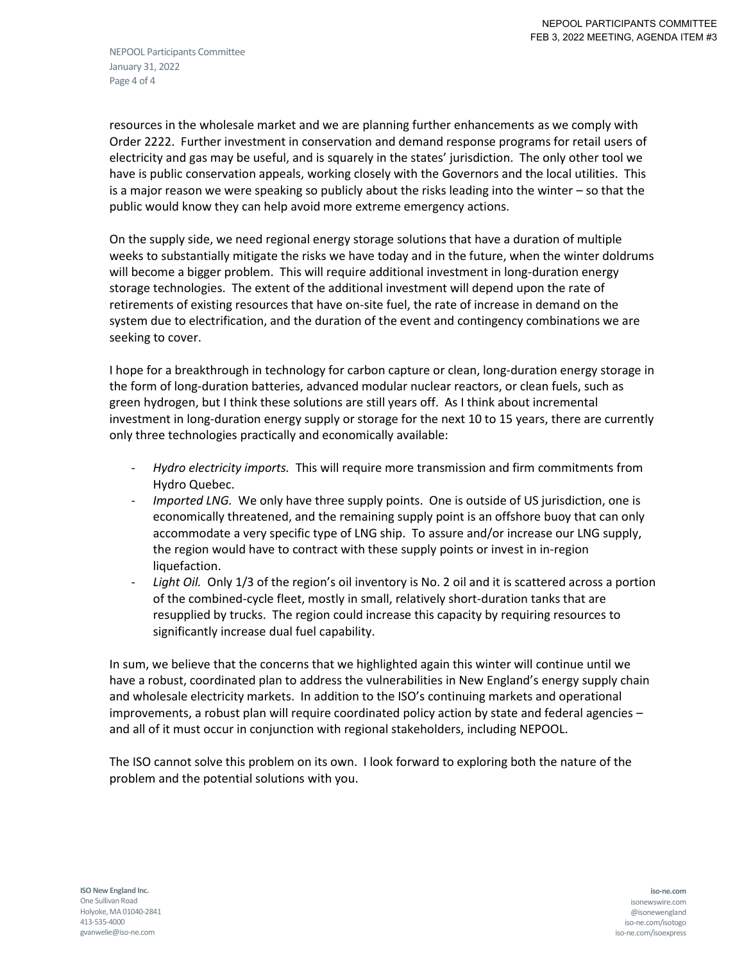NEPOOL Participants Committee January 31, 2022 Page 4 of 4

resources in the wholesale market and we are planning further enhancements as we comply with Order 2222. Further investment in conservation and demand response programs for retail users of electricity and gas may be useful, and is squarely in the states' jurisdiction. The only other tool we have is public conservation appeals, working closely with the Governors and the local utilities. This is a major reason we were speaking so publicly about the risks leading into the winter – so that the public would know they can help avoid more extreme emergency actions.

On the supply side, we need regional energy storage solutions that have a duration of multiple weeks to substantially mitigate the risks we have today and in the future, when the winter doldrums will become a bigger problem. This will require additional investment in long-duration energy storage technologies. The extent of the additional investment will depend upon the rate of retirements of existing resources that have on-site fuel, the rate of increase in demand on the system due to electrification, and the duration of the event and contingency combinations we are seeking to cover.

I hope for a breakthrough in technology for carbon capture or clean, long-duration energy storage in the form of long-duration batteries, advanced modular nuclear reactors, or clean fuels, such as green hydrogen, but I think these solutions are still years off. As I think about incremental investment in long-duration energy supply or storage for the next 10 to 15 years, there are currently only three technologies practically and economically available:

- *Hydro electricity imports.* This will require more transmission and firm commitments from Hydro Quebec.
- *Imported LNG.* We only have three supply points. One is outside of US jurisdiction, one is economically threatened, and the remaining supply point is an offshore buoy that can only accommodate a very specific type of LNG ship. To assure and/or increase our LNG supply, the region would have to contract with these supply points or invest in in-region liquefaction.
- Light Oil. Only 1/3 of the region's oil inventory is No. 2 oil and it is scattered across a portion of the combined-cycle fleet, mostly in small, relatively short-duration tanks that are resupplied by trucks. The region could increase this capacity by requiring resources to significantly increase dual fuel capability.

In sum, we believe that the concerns that we highlighted again this winter will continue until we have a robust, coordinated plan to address the vulnerabilities in New England's energy supply chain and wholesale electricity markets. In addition to the ISO's continuing markets and operational improvements, a robust plan will require coordinated policy action by state and federal agencies – and all of it must occur in conjunction with regional stakeholders, including NEPOOL.

The ISO cannot solve this problem on its own. I look forward to exploring both the nature of the problem and the potential solutions with you.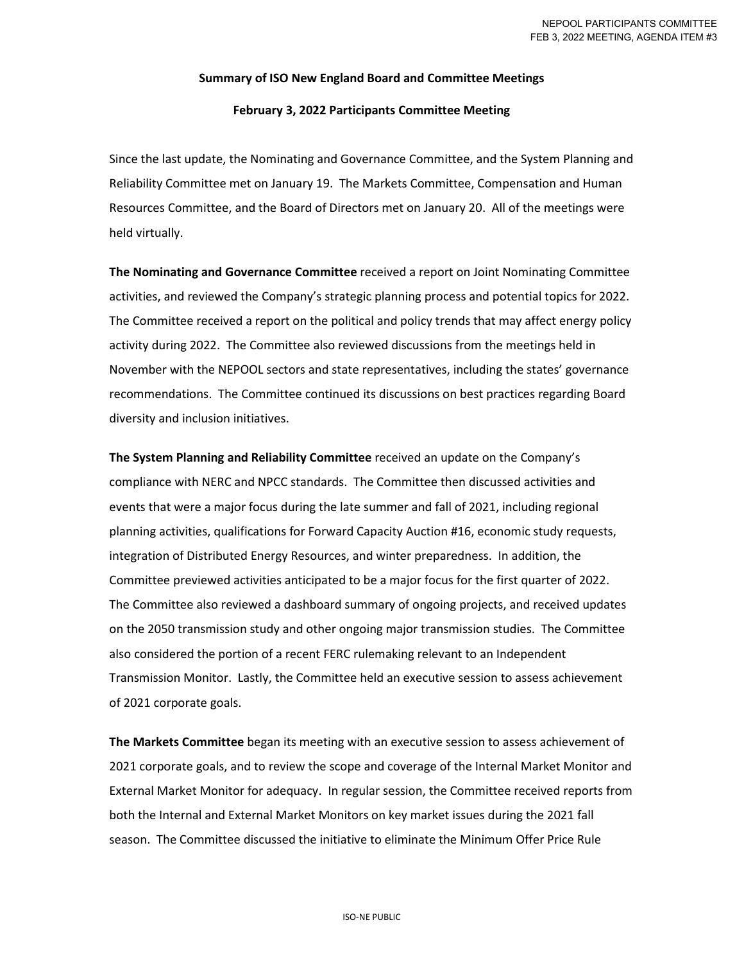#### **Summary of ISO New England Board and Committee Meetings**

#### **February 3, 2022 Participants Committee Meeting**

Since the last update, the Nominating and Governance Committee, and the System Planning and Reliability Committee met on January 19. The Markets Committee, Compensation and Human Resources Committee, and the Board of Directors met on January 20. All of the meetings were held virtually.

**The Nominating and Governance Committee** received a report on Joint Nominating Committee activities, and reviewed the Company's strategic planning process and potential topics for 2022. The Committee received a report on the political and policy trends that may affect energy policy activity during 2022. The Committee also reviewed discussions from the meetings held in November with the NEPOOL sectors and state representatives, including the states' governance recommendations. The Committee continued its discussions on best practices regarding Board diversity and inclusion initiatives.

**The System Planning and Reliability Committee** received an update on the Company's compliance with NERC and NPCC standards. The Committee then discussed activities and events that were a major focus during the late summer and fall of 2021, including regional planning activities, qualifications for Forward Capacity Auction #16, economic study requests, integration of Distributed Energy Resources, and winter preparedness. In addition, the Committee previewed activities anticipated to be a major focus for the first quarter of 2022. The Committee also reviewed a dashboard summary of ongoing projects, and received updates on the 2050 transmission study and other ongoing major transmission studies. The Committee also considered the portion of a recent FERC rulemaking relevant to an Independent Transmission Monitor. Lastly, the Committee held an executive session to assess achievement of 2021 corporate goals.

**The Markets Committee** began its meeting with an executive session to assess achievement of 2021 corporate goals, and to review the scope and coverage of the Internal Market Monitor and External Market Monitor for adequacy. In regular session, the Committee received reports from both the Internal and External Market Monitors on key market issues during the 2021 fall season. The Committee discussed the initiative to eliminate the Minimum Offer Price Rule